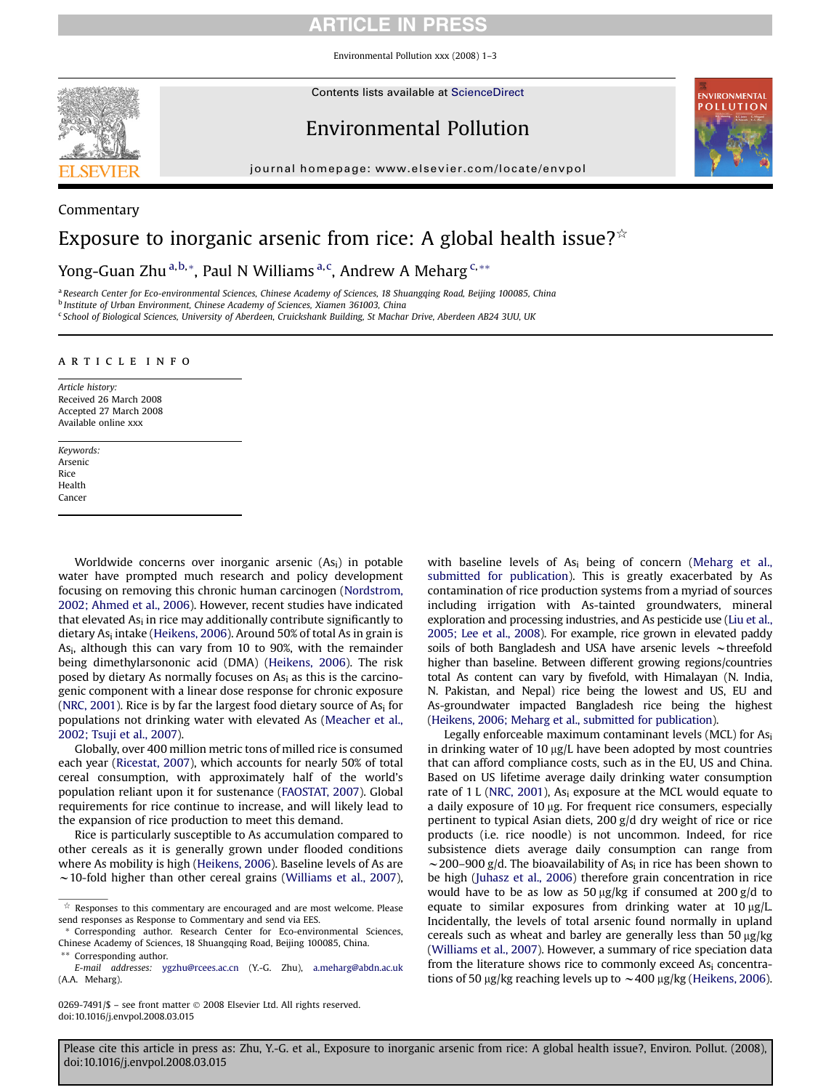### ARTICLE IN PRESS

Environmental Pollution xxx (2008) 1–3



Commentary

Contents lists available at [ScienceDirect](www.sciencedirect.com/science/journal/02697491)

## Environmental Pollution



journal homepage: [www.elsevier.com/locate/envpol](http://www.elsevier.com/locate/envpol)

# Exposure to inorganic arsenic from rice: A global health issue? $\mathbb{R}^{\infty}$

Yong-Guan Zhu <sup>a,b,</sup>\*, Paul N Williams <sup>a,c</sup>, Andrew A Meharg <sup>c,</sup>\*\*

a Research Center for Eco-environmental Sciences, Chinese Academy of Sciences, 18 Shuangqing Road, Beijing 100085, China <sup>b</sup> Institute of Urban Environment, Chinese Academy of Sciences, Xiamen 361003, China <sup>c</sup> School of Biological Sciences, University of Aberdeen, Cruickshank Building, St Machar Drive, Aberdeen AB24 3UU, UK

#### article info

Article history: Received 26 March 2008 Accepted 27 March 2008 Available online xxx

Keywords: Arsenic Rice Health Cancer

Worldwide concerns over inorganic arsenic  $(As<sub>i</sub>)$  in potable water have prompted much research and policy development focusing on removing this chronic human carcinogen ([Nordstrom,](#page-2-0) [2002; Ahmed et al., 2006](#page-2-0)). However, recent studies have indicated that elevated  $As<sub>i</sub>$  in rice may additionally contribute significantly to dietary As<sub>i</sub> intake ([Heikens, 2006](#page-2-0)). Around 50% of total As in grain is Asi, although this can vary from 10 to 90%, with the remainder being dimethylarsononic acid (DMA) ([Heikens, 2006\)](#page-2-0). The risk posed by dietary As normally focuses on As<sub>i</sub> as this is the carcinogenic component with a linear dose response for chronic exposure ([NRC, 2001\)](#page-2-0). Rice is by far the largest food dietary source of  $As<sub>i</sub>$  for populations not drinking water with elevated As ([Meacher et al.,](#page-2-0) [2002; Tsuji et al., 2007](#page-2-0)).

Globally, over 400 million metric tons of milled rice is consumed each year ([Ricestat, 2007](#page-2-0)), which accounts for nearly 50% of total cereal consumption, with approximately half of the world's population reliant upon it for sustenance [\(FAOSTAT, 2007\)](#page-2-0). Global requirements for rice continue to increase, and will likely lead to the expansion of rice production to meet this demand.

Rice is particularly susceptible to As accumulation compared to other cereals as it is generally grown under flooded conditions where As mobility is high ([Heikens, 2006](#page-2-0)). Baseline levels of As are  $\sim$  10-fold higher than other cereal grains [\(Williams et al., 2007\)](#page-2-0), with baseline levels of  $As<sub>i</sub>$  being of concern ([Meharg et al.,](#page-2-0) [submitted for publication](#page-2-0)). This is greatly exacerbated by As contamination of rice production systems from a myriad of sources including irrigation with As-tainted groundwaters, mineral exploration and processing industries, and As pesticide use ([Liu et al.,](#page-2-0) [2005; Lee et al., 2008](#page-2-0)). For example, rice grown in elevated paddy soils of both Bangladesh and USA have arsenic levels  $\sim$ threefold higher than baseline. Between different growing regions/countries total As content can vary by fivefold, with Himalayan (N. India, N. Pakistan, and Nepal) rice being the lowest and US, EU and As-groundwater impacted Bangladesh rice being the highest [\(Heikens, 2006; Meharg et al., submitted for publication\)](#page-2-0).

Legally enforceable maximum contaminant levels (MCL) for  $As<sub>i</sub>$ in drinking water of  $10 \mu g/L$  have been adopted by most countries that can afford compliance costs, such as in the EU, US and China. Based on US lifetime average daily drinking water consumption rate of 1 L [\(NRC, 2001\)](#page-2-0), Asi exposure at the MCL would equate to a daily exposure of 10 µg. For frequent rice consumers, especially pertinent to typical Asian diets, 200 g/d dry weight of rice or rice products (i.e. rice noodle) is not uncommon. Indeed, for rice subsistence diets average daily consumption can range from  $\sim$  200–900 g/d. The bioavailability of As<sub>i</sub> in rice has been shown to be high ([Juhasz et al., 2006\)](#page-2-0) therefore grain concentration in rice would have to be as low as 50  $\mu$ g/kg if consumed at 200 g/d to equate to similar exposures from drinking water at  $10 \mu g/L$ . Incidentally, the levels of total arsenic found normally in upland cereals such as wheat and barley are generally less than 50  $\mu$ g/kg [\(Williams et al., 2007](#page-2-0)). However, a summary of rice speciation data from the literature shows rice to commonly exceed As<sub>i</sub> concentrations of 50  $\mu$ g/kg reaching levels up to  $\sim$  400  $\mu$ g/kg ([Heikens, 2006\)](#page-2-0).

 $\hat{X}$  Responses to this commentary are encouraged and are most welcome. Please send responses as Response to Commentary and send via EES.

<sup>\*</sup> Corresponding author. Research Center for Eco-environmental Sciences, Chinese Academy of Sciences, 18 Shuangqing Road, Beijing 100085, China. Corresponding author.

E-mail addresses: [ygzhu@rcees.ac.cn](mailto:ygzhu@rcees.ac.cn) (Y.-G. Zhu), [a.meharg@abdn.ac.uk](mailto:a.meharg@abdn.ac.uk) (A.A. Meharg).

<sup>0269-7491/\$ –</sup> see front matter © 2008 Elsevier Ltd. All rights reserved. doi:10.1016/j.envpol.2008.03.015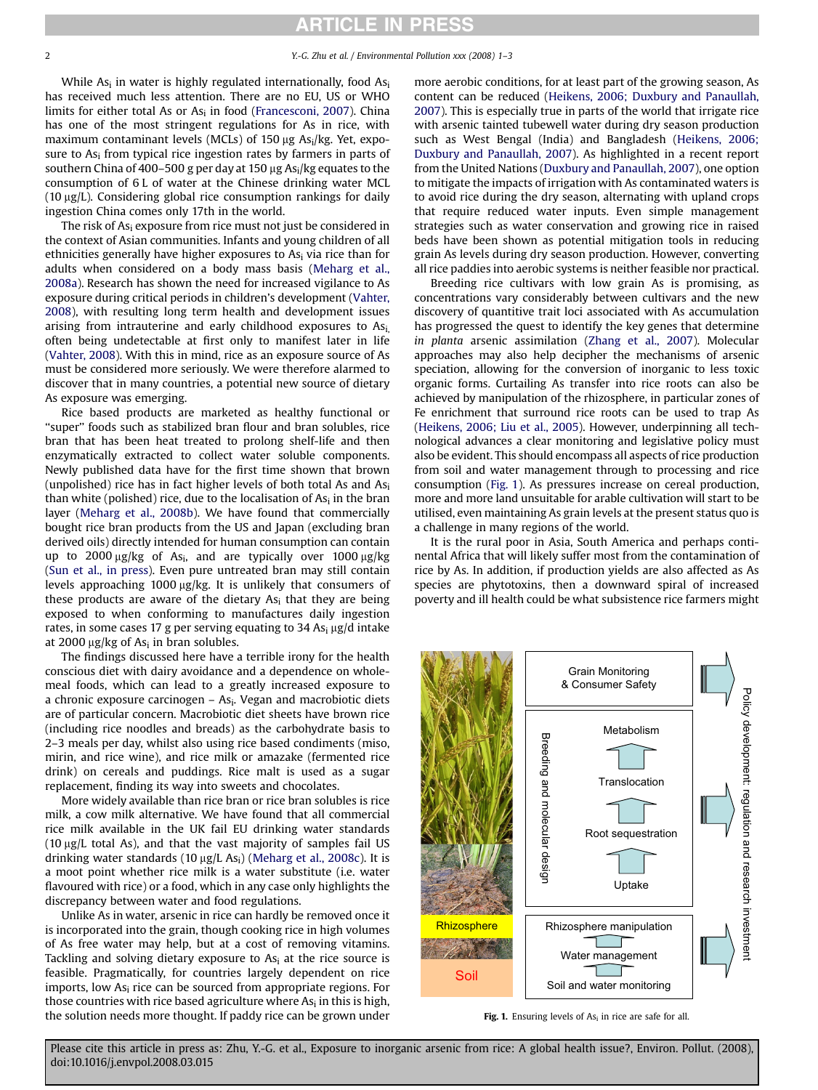While  $As<sub>i</sub>$  in water is highly regulated internationally, food  $As<sub>i</sub>$ has received much less attention. There are no EU, US or WHO limits for either total As or  $As<sub>i</sub>$  in food [\(Francesconi, 2007](#page-2-0)). China has one of the most stringent regulations for As in rice, with maximum contaminant levels (MCLs) of 150  $\mu$ g As<sub>i</sub>/kg. Yet, exposure to As<sub>i</sub> from typical rice ingestion rates by farmers in parts of southern China of 400-500 g per day at 150 µg As<sub>i</sub>/kg equates to the consumption of 6 L of water at the Chinese drinking water MCL (10 mg/L). Considering global rice consumption rankings for daily ingestion China comes only 17th in the world.

The risk of As<sub>i</sub> exposure from rice must not just be considered in the context of Asian communities. Infants and young children of all ethnicities generally have higher exposures to As<sub>i</sub> via rice than for adults when considered on a body mass basis [\(Meharg et al.,](#page-2-0) [2008a](#page-2-0)). Research has shown the need for increased vigilance to As exposure during critical periods in children's development [\(Vahter,](#page-2-0) [2008](#page-2-0)), with resulting long term health and development issues arising from intrauterine and early childhood exposures to Asi, often being undetectable at first only to manifest later in life ([Vahter, 2008](#page-2-0)). With this in mind, rice as an exposure source of As must be considered more seriously. We were therefore alarmed to discover that in many countries, a potential new source of dietary As exposure was emerging.

Rice based products are marketed as healthy functional or "super" foods such as stabilized bran flour and bran solubles, rice bran that has been heat treated to prolong shelf-life and then enzymatically extracted to collect water soluble components. Newly published data have for the first time shown that brown (unpolished) rice has in fact higher levels of both total As and Asi than white (polished) rice, due to the localisation of  $As<sub>i</sub>$  in the bran layer [\(Meharg et al., 2008b\)](#page-2-0). We have found that commercially bought rice bran products from the US and Japan (excluding bran derived oils) directly intended for human consumption can contain up to 2000  $\mu$ g/kg of As<sub>i</sub>, and are typically over 1000  $\mu$ g/kg ([Sun et al., in press\)](#page-2-0). Even pure untreated bran may still contain levels approaching 1000 µg/kg. It is unlikely that consumers of these products are aware of the dietary Asi that they are being exposed to when conforming to manufactures daily ingestion rates, in some cases 17 g per serving equating to 34 As<sub>i</sub>  $\mu$ g/d intake at 2000  $\mu$ g/kg of As<sub>i</sub> in bran solubles.

The findings discussed here have a terrible irony for the health conscious diet with dairy avoidance and a dependence on wholemeal foods, which can lead to a greatly increased exposure to a chronic exposure carcinogen  $-$  As<sub>i</sub>. Vegan and macrobiotic diets are of particular concern. Macrobiotic diet sheets have brown rice (including rice noodles and breads) as the carbohydrate basis to 2–3 meals per day, whilst also using rice based condiments (miso, mirin, and rice wine), and rice milk or amazake (fermented rice drink) on cereals and puddings. Rice malt is used as a sugar replacement, finding its way into sweets and chocolates.

More widely available than rice bran or rice bran solubles is rice milk, a cow milk alternative. We have found that all commercial rice milk available in the UK fail EU drinking water standards ( $10 \mu g/L$  total As), and that the vast majority of samples fail US drinking water standards (10  $\mu$ g/L As<sub>i</sub>) ([Meharg et al., 2008c\)](#page-2-0). It is a moot point whether rice milk is a water substitute (i.e. water flavoured with rice) or a food, which in any case only highlights the discrepancy between water and food regulations.

Unlike As in water, arsenic in rice can hardly be removed once it is incorporated into the grain, though cooking rice in high volumes of As free water may help, but at a cost of removing vitamins. Tackling and solving dietary exposure to  $As<sub>i</sub>$  at the rice source is feasible. Pragmatically, for countries largely dependent on rice imports, low As<sub>i</sub> rice can be sourced from appropriate regions. For those countries with rice based agriculture where  $As<sub>i</sub>$  in this is high, the solution needs more thought. If paddy rice can be grown under more aerobic conditions, for at least part of the growing season, As content can be reduced ([Heikens, 2006; Duxbury and Panaullah,](#page-2-0) [2007\)](#page-2-0). This is especially true in parts of the world that irrigate rice with arsenic tainted tubewell water during dry season production such as West Bengal (India) and Bangladesh [\(Heikens, 2006;](#page-2-0) [Duxbury and Panaullah, 2007\)](#page-2-0). As highlighted in a recent report from the United Nations [\(Duxbury and Panaullah, 2007](#page-2-0)), one option to mitigate the impacts of irrigation with As contaminated waters is to avoid rice during the dry season, alternating with upland crops that require reduced water inputs. Even simple management strategies such as water conservation and growing rice in raised beds have been shown as potential mitigation tools in reducing grain As levels during dry season production. However, converting all rice paddies into aerobic systems is neither feasible nor practical.

Breeding rice cultivars with low grain As is promising, as concentrations vary considerably between cultivars and the new discovery of quantitive trait loci associated with As accumulation has progressed the quest to identify the key genes that determine in planta arsenic assimilation ([Zhang et al., 2007\)](#page-2-0). Molecular approaches may also help decipher the mechanisms of arsenic speciation, allowing for the conversion of inorganic to less toxic organic forms. Curtailing As transfer into rice roots can also be achieved by manipulation of the rhizosphere, in particular zones of Fe enrichment that surround rice roots can be used to trap As ([Heikens, 2006; Liu et al., 2005](#page-2-0)). However, underpinning all technological advances a clear monitoring and legislative policy must also be evident. This should encompass all aspects of rice production from soil and water management through to processing and rice consumption (Fig. 1). As pressures increase on cereal production, more and more land unsuitable for arable cultivation will start to be utilised, even maintaining As grain levels at the present status quo is a challenge in many regions of the world.

It is the rural poor in Asia, South America and perhaps continental Africa that will likely suffer most from the contamination of rice by As. In addition, if production yields are also affected as As species are phytotoxins, then a downward spiral of increased poverty and ill health could be what subsistence rice farmers might



Fig. 1. Ensuring levels of  $As<sub>i</sub>$  in rice are safe for all.